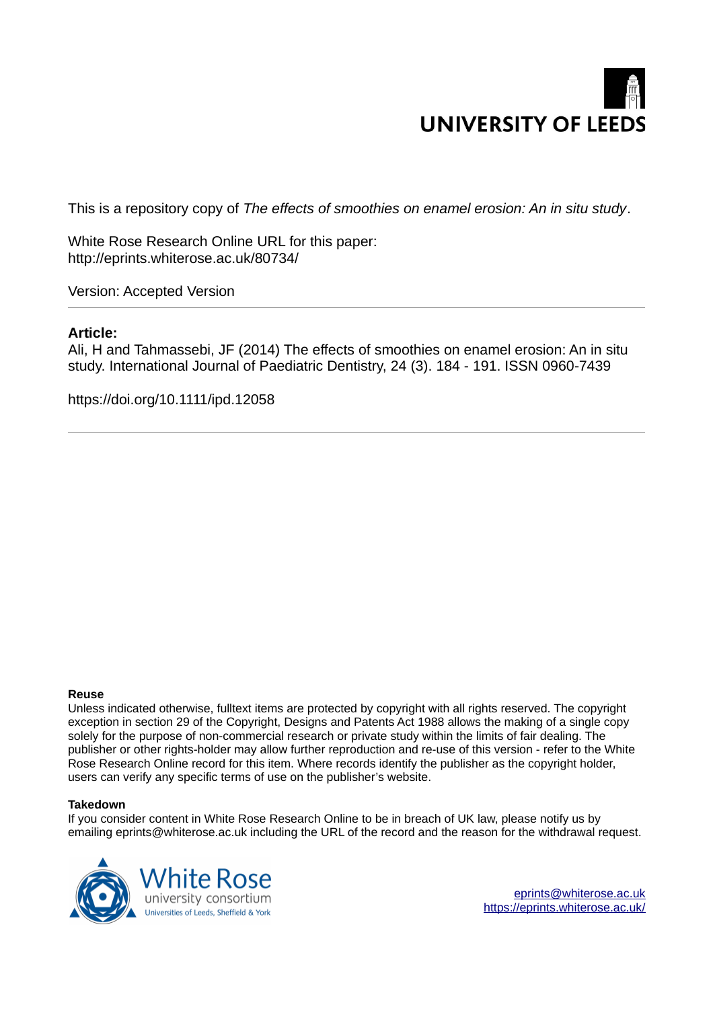# **UNIVERSITY OF LEEDS**

This is a repository copy of *The effects of smoothies on enamel erosion: An in situ study*.

White Rose Research Online URL for this paper: http://eprints.whiterose.ac.uk/80734/

Version: Accepted Version

# **Article:**

Ali, H and Tahmassebi, JF (2014) The effects of smoothies on enamel erosion: An in situ study. International Journal of Paediatric Dentistry, 24 (3). 184 - 191. ISSN 0960-7439

https://doi.org/10.1111/ipd.12058

# **Reuse**

Unless indicated otherwise, fulltext items are protected by copyright with all rights reserved. The copyright exception in section 29 of the Copyright, Designs and Patents Act 1988 allows the making of a single copy solely for the purpose of non-commercial research or private study within the limits of fair dealing. The publisher or other rights-holder may allow further reproduction and re-use of this version - refer to the White Rose Research Online record for this item. Where records identify the publisher as the copyright holder, users can verify any specific terms of use on the publisher's website.

#### **Takedown**

If you consider content in White Rose Research Online to be in breach of UK law, please notify us by emailing eprints@whiterose.ac.uk including the URL of the record and the reason for the withdrawal request.



[eprints@whiterose.ac.uk](mailto:eprints@whiterose.ac.uk) <https://eprints.whiterose.ac.uk/>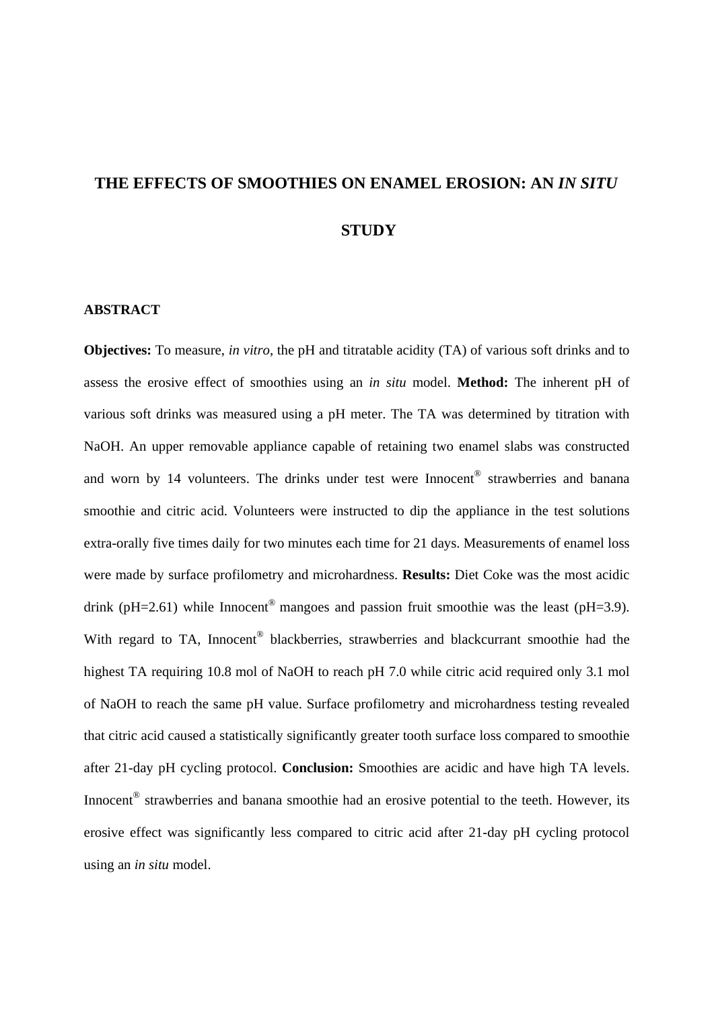# **THE EFFECTS OF SMOOTHIES ON ENAMEL EROSION: AN** *IN SITU* **STUDY**

# **ABSTRACT**

**Objectives:** To measure, *in vitro*, the pH and titratable acidity (TA) of various soft drinks and to assess the erosive effect of smoothies using an *in situ* model. **Method:** The inherent pH of various soft drinks was measured using a pH meter. The TA was determined by titration with NaOH. An upper removable appliance capable of retaining two enamel slabs was constructed and worn by 14 volunteers. The drinks under test were Innocent<sup>®</sup> strawberries and banana smoothie and citric acid. Volunteers were instructed to dip the appliance in the test solutions extra-orally five times daily for two minutes each time for 21 days. Measurements of enamel loss were made by surface profilometry and microhardness. **Results:** Diet Coke was the most acidic drink ( $pH=2.61$ ) while Innocent<sup>®</sup> mangoes and passion fruit smoothie was the least ( $pH=3.9$ ). With regard to TA, Innocent® blackberries, strawberries and blackcurrant smoothie had the highest TA requiring 10.8 mol of NaOH to reach pH 7.0 while citric acid required only 3.1 mol of NaOH to reach the same pH value. Surface profilometry and microhardness testing revealed that citric acid caused a statistically significantly greater tooth surface loss compared to smoothie after 21-day pH cycling protocol. **Conclusion:** Smoothies are acidic and have high TA levels. Innocent<sup>®</sup> strawberries and banana smoothie had an erosive potential to the teeth. However, its erosive effect was significantly less compared to citric acid after 21-day pH cycling protocol using an *in situ* model.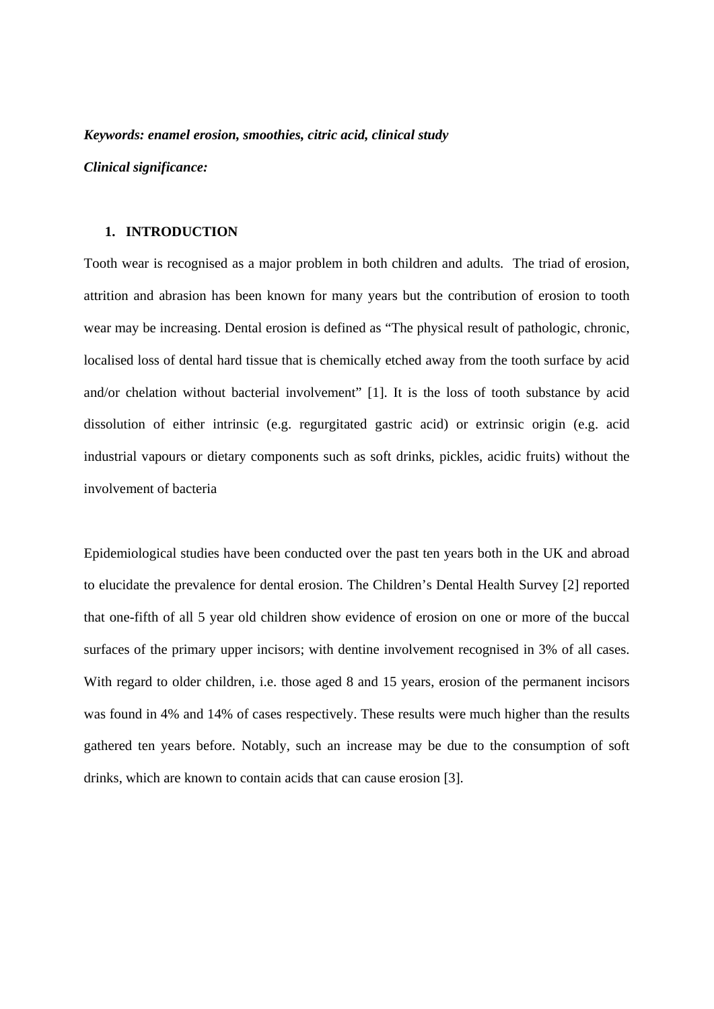#### *Keywords: enamel erosion, smoothies, citric acid, clinical study*

*Clinical significance:* 

# **1. INTRODUCTION**

Tooth wear is recognised as a major problem in both children and adults. The triad of erosion, attrition and abrasion has been known for many years but the contribution of erosion to tooth wear may be increasing. Dental erosion is defined as "The physical result of pathologic, chronic, localised loss of dental hard tissue that is chemically etched away from the tooth surface by acid and/or chelation without bacterial involvement" [1]. It is the loss of tooth substance by acid dissolution of either intrinsic (e.g. regurgitated gastric acid) or extrinsic origin (e.g. acid industrial vapours or dietary components such as soft drinks, pickles, acidic fruits) without the involvement of bacteria

Epidemiological studies have been conducted over the past ten years both in the UK and abroad to elucidate the prevalence for dental erosion. The Children's Dental Health Survey [2] reported that one-fifth of all 5 year old children show evidence of erosion on one or more of the buccal surfaces of the primary upper incisors; with dentine involvement recognised in 3% of all cases. With regard to older children, i.e. those aged 8 and 15 years, erosion of the permanent incisors was found in 4% and 14% of cases respectively. These results were much higher than the results gathered ten years before. Notably, such an increase may be due to the consumption of soft drinks, which are known to contain acids that can cause erosion [3].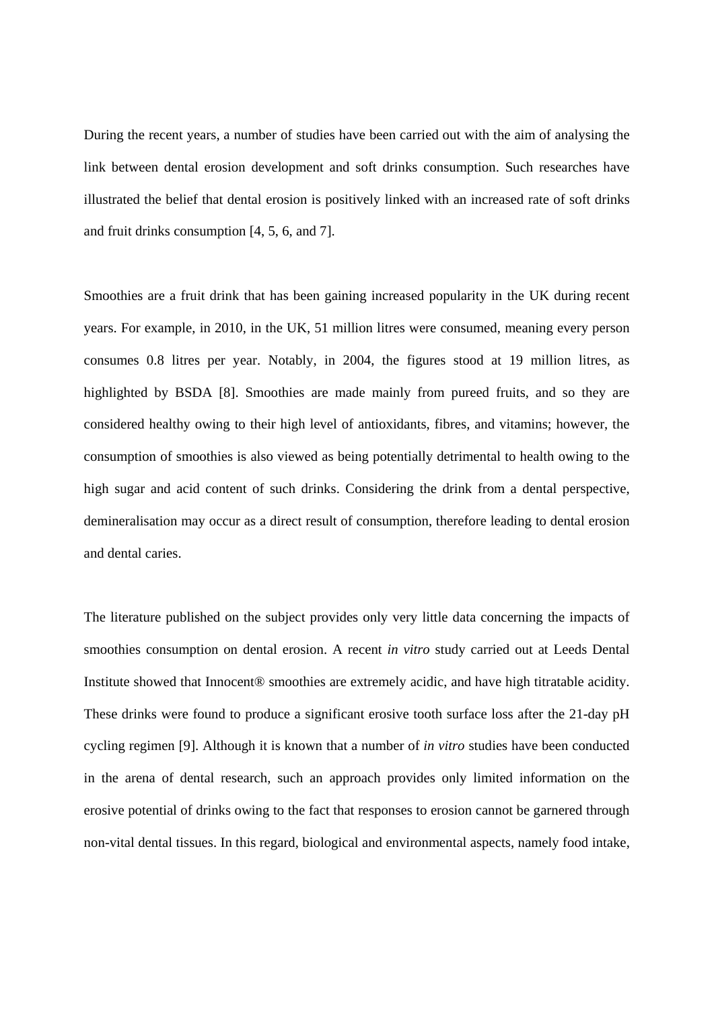During the recent years, a number of studies have been carried out with the aim of analysing the link between dental erosion development and soft drinks consumption. Such researches have illustrated the belief that dental erosion is positively linked with an increased rate of soft drinks and fruit drinks consumption [4, 5, 6, and 7].

Smoothies are a fruit drink that has been gaining increased popularity in the UK during recent years. For example, in 2010, in the UK, 51 million litres were consumed, meaning every person consumes 0.8 litres per year. Notably, in 2004, the figures stood at 19 million litres, as highlighted by BSDA [8]. Smoothies are made mainly from pureed fruits, and so they are considered healthy owing to their high level of antioxidants, fibres, and vitamins; however, the consumption of smoothies is also viewed as being potentially detrimental to health owing to the high sugar and acid content of such drinks. Considering the drink from a dental perspective, demineralisation may occur as a direct result of consumption, therefore leading to dental erosion and dental caries.

The literature published on the subject provides only very little data concerning the impacts of smoothies consumption on dental erosion. A recent *in vitro* study carried out at Leeds Dental Institute showed that Innocent® smoothies are extremely acidic, and have high titratable acidity. These drinks were found to produce a significant erosive tooth surface loss after the 21-day pH cycling regimen [9]. Although it is known that a number of *in vitro* studies have been conducted in the arena of dental research, such an approach provides only limited information on the erosive potential of drinks owing to the fact that responses to erosion cannot be garnered through non-vital dental tissues. In this regard, biological and environmental aspects, namely food intake,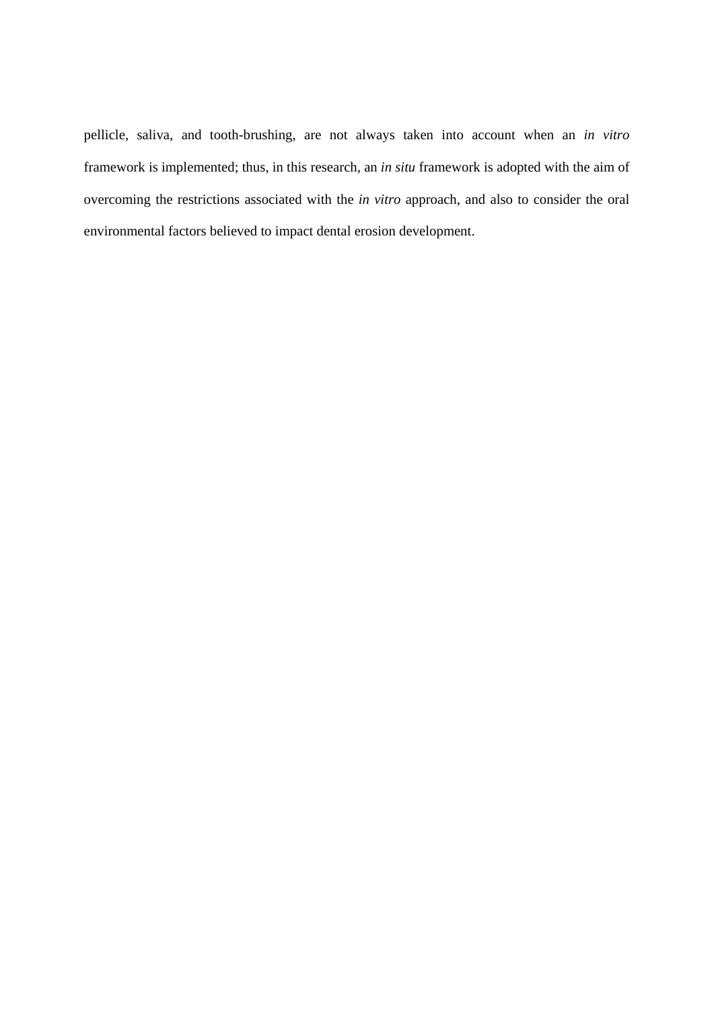pellicle, saliva, and tooth-brushing, are not always taken into account when an *in vitro* framework is implemented; thus, in this research, an *in situ* framework is adopted with the aim of overcoming the restrictions associated with the *in vitro* approach, and also to consider the oral environmental factors believed to impact dental erosion development.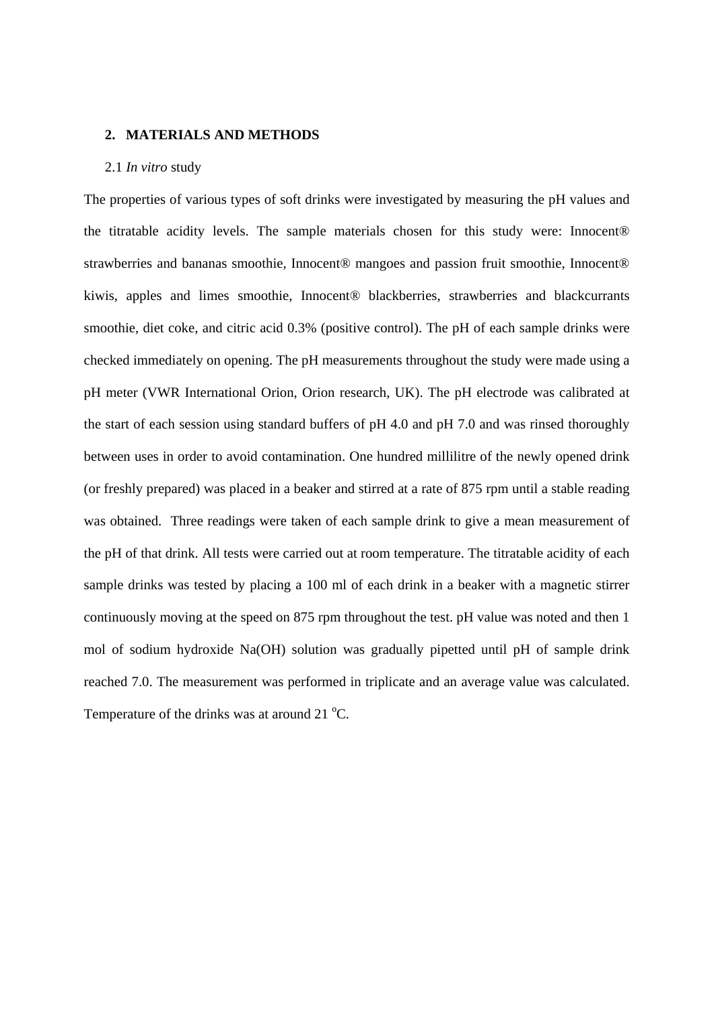#### **2. MATERIALS AND METHODS**

# 2.1 *In vitro* study

The properties of various types of soft drinks were investigated by measuring the pH values and the titratable acidity levels. The sample materials chosen for this study were: Innocent® strawberries and bananas smoothie, Innocent® mangoes and passion fruit smoothie, Innocent® kiwis, apples and limes smoothie, Innocent<sup>®</sup> blackberries, strawberries and blackcurrants smoothie, diet coke, and citric acid 0.3% (positive control). The pH of each sample drinks were checked immediately on opening. The pH measurements throughout the study were made using a pH meter (VWR International Orion, Orion research, UK). The pH electrode was calibrated at the start of each session using standard buffers of pH 4.0 and pH 7.0 and was rinsed thoroughly between uses in order to avoid contamination. One hundred millilitre of the newly opened drink (or freshly prepared) was placed in a beaker and stirred at a rate of 875 rpm until a stable reading was obtained. Three readings were taken of each sample drink to give a mean measurement of the pH of that drink. All tests were carried out at room temperature. The titratable acidity of each sample drinks was tested by placing a 100 ml of each drink in a beaker with a magnetic stirrer continuously moving at the speed on 875 rpm throughout the test. pH value was noted and then 1 mol of sodium hydroxide Na(OH) solution was gradually pipetted until pH of sample drink reached 7.0. The measurement was performed in triplicate and an average value was calculated. Temperature of the drinks was at around  $21^{\circ}$ C.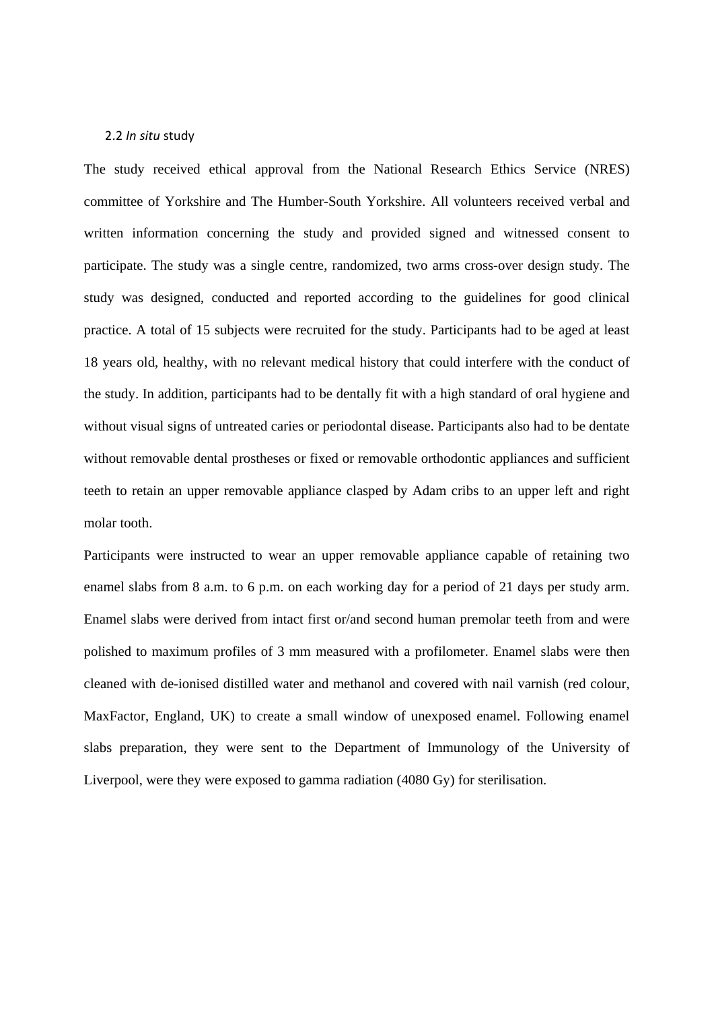#### 2.2 *In situ* study

The study received ethical approval from the National Research Ethics Service (NRES) committee of Yorkshire and The Humber-South Yorkshire. All volunteers received verbal and written information concerning the study and provided signed and witnessed consent to participate. The study was a single centre, randomized, two arms cross-over design study. The study was designed, conducted and reported according to the guidelines for good clinical practice. A total of 15 subjects were recruited for the study. Participants had to be aged at least 18 years old, healthy, with no relevant medical history that could interfere with the conduct of the study. In addition, participants had to be dentally fit with a high standard of oral hygiene and without visual signs of untreated caries or periodontal disease. Participants also had to be dentate without removable dental prostheses or fixed or removable orthodontic appliances and sufficient teeth to retain an upper removable appliance clasped by Adam cribs to an upper left and right molar tooth.

Participants were instructed to wear an upper removable appliance capable of retaining two enamel slabs from 8 a.m. to 6 p.m. on each working day for a period of 21 days per study arm. Enamel slabs were derived from intact first or/and second human premolar teeth from and were polished to maximum profiles of 3 mm measured with a profilometer. Enamel slabs were then cleaned with de-ionised distilled water and methanol and covered with nail varnish (red colour, MaxFactor, England, UK) to create a small window of unexposed enamel. Following enamel slabs preparation, they were sent to the Department of Immunology of the University of Liverpool, were they were exposed to gamma radiation (4080 Gy) for sterilisation.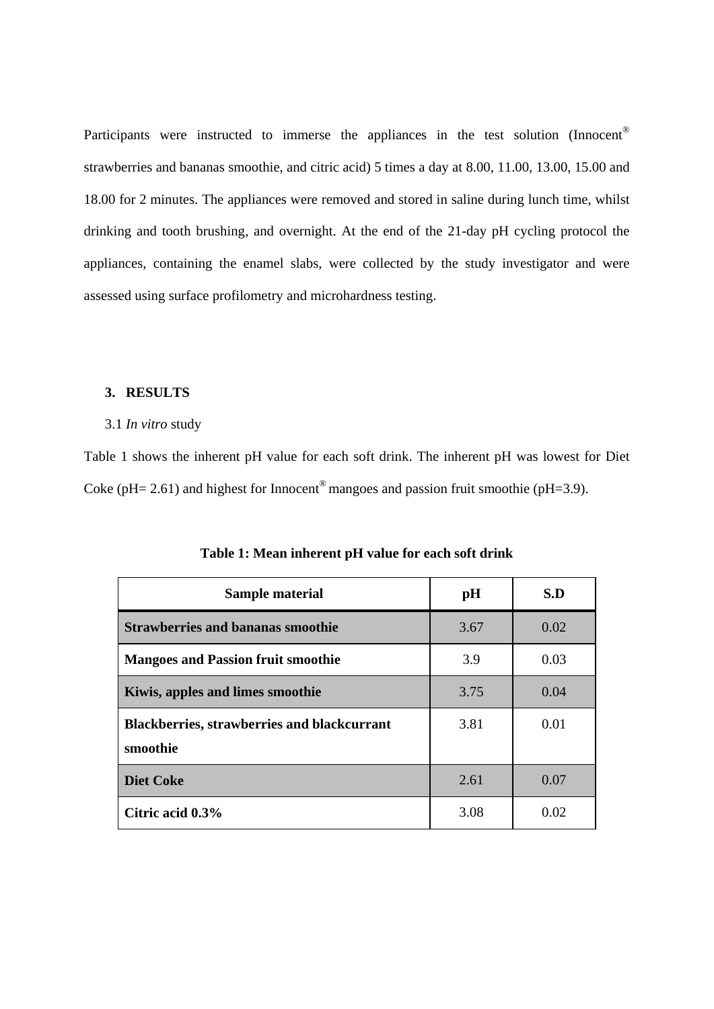Participants were instructed to immerse the appliances in the test solution (Innocent<sup>®</sup> strawberries and bananas smoothie, and citric acid) 5 times a day at 8.00, 11.00, 13.00, 15.00 and 18.00 for 2 minutes. The appliances were removed and stored in saline during lunch time, whilst drinking and tooth brushing, and overnight. At the end of the 21-day pH cycling protocol the appliances, containing the enamel slabs, were collected by the study investigator and were assessed using surface profilometry and microhardness testing.

# **3. RESULTS**

## 3.1 *In vitro* study

Table 1 shows the inherent pH value for each soft drink. The inherent pH was lowest for Diet Coke ( $pH = 2.61$ ) and highest for Innocent<sup>®</sup> mangoes and passion fruit smoothie ( $pH = 3.9$ ).

| Sample material                                                | pH   | S.D  |
|----------------------------------------------------------------|------|------|
| <b>Strawberries and bananas smoothie</b>                       | 3.67 | 0.02 |
| <b>Mangoes and Passion fruit smoothie</b>                      | 3.9  | 0.03 |
| Kiwis, apples and limes smoothie                               | 3.75 | 0.04 |
| <b>Blackberries, strawberries and blackcurrant</b><br>smoothie | 3.81 | 0.01 |
| <b>Diet Coke</b>                                               | 2.61 | 0.07 |
| Citric acid 0.3%                                               | 3.08 | 0.02 |

**Table 1: Mean inherent pH value for each soft drink**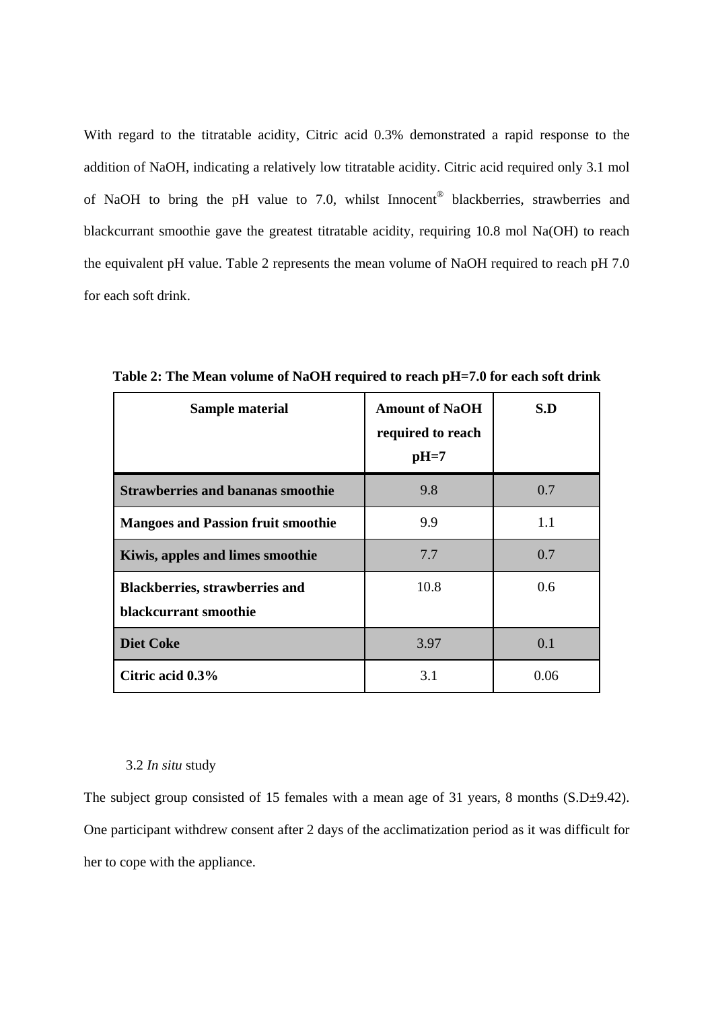With regard to the titratable acidity, Citric acid 0.3% demonstrated a rapid response to the addition of NaOH, indicating a relatively low titratable acidity. Citric acid required only 3.1 mol of NaOH to bring the pH value to 7.0, whilst Innocent<sup>®</sup> blackberries, strawberries and blackcurrant smoothie gave the greatest titratable acidity, requiring 10.8 mol Na(OH) to reach the equivalent pH value. Table 2 represents the mean volume of NaOH required to reach pH 7.0 for each soft drink.

| Sample material                                                | <b>Amount of NaOH</b><br>required to reach<br>$pH=7$ | S.D  |
|----------------------------------------------------------------|------------------------------------------------------|------|
| <b>Strawberries and bananas smoothie</b>                       | 9.8                                                  | 0.7  |
| <b>Mangoes and Passion fruit smoothie</b>                      | 9.9                                                  | 1.1  |
| Kiwis, apples and limes smoothie                               | 7.7                                                  | 0.7  |
| <b>Blackberries, strawberries and</b><br>blackcurrant smoothie | 10.8                                                 | 0.6  |
| <b>Diet Coke</b>                                               | 3.97                                                 | 0.1  |
| Citric acid 0.3%                                               | 3.1                                                  | 0.06 |

**Table 2: The Mean volume of NaOH required to reach pH=7.0 for each soft drink** 

#### 3.2 *In situ* study

The subject group consisted of 15 females with a mean age of 31 years, 8 months  $(S.D\pm 9.42)$ . One participant withdrew consent after 2 days of the acclimatization period as it was difficult for her to cope with the appliance.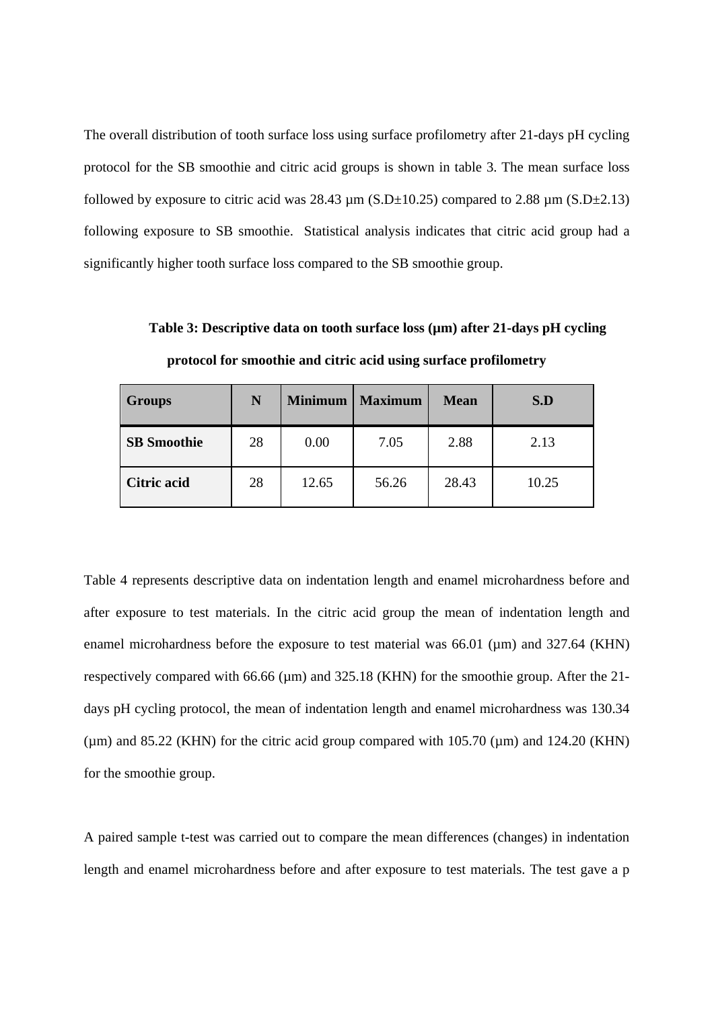The overall distribution of tooth surface loss using surface profilometry after 21-days pH cycling protocol for the SB smoothie and citric acid groups is shown in table 3. The mean surface loss followed by exposure to citric acid was  $28.43 \mu m$  (S.D $\pm$ 10.25) compared to 2.88  $\mu$ m (S.D $\pm$ 2.13) following exposure to SB smoothie. Statistical analysis indicates that citric acid group had a significantly higher tooth surface loss compared to the SB smoothie group.

Groups **N Minimum Maximum Mean Mean SB Smoothie 1 28 1 0.00 1 7.05 2.88 2.13 Citric acid** 28 12.65 56.26 28.43 10.25

Table 3: Descriptive data on tooth surface loss ( $\mu$ m) after 21-days pH cycling

Table 4 represents descriptive data on indentation length and enamel microhardness before and after exposure to test materials. In the citric acid group the mean of indentation length and enamel microhardness before the exposure to test material was 66.01 ( $\mu$ m) and 327.64 (KHN) respectively compared with 66.66 ( $\mu$ m) and 325.18 (KHN) for the smoothie group. After the 21days pH cycling protocol, the mean of indentation length and enamel microhardness was 130.34 (um) and  $85.22$  (KHN) for the citric acid group compared with  $105.70$  (um) and  $124.20$  (KHN)

**protocol for smoothie and citric acid using surface profilometry** 

length and enamel microhardness before and after exposure to test materials. The test gave a p

A paired sample t-test was carried out to compare the mean differences (changes) in indentation

for the smoothie group.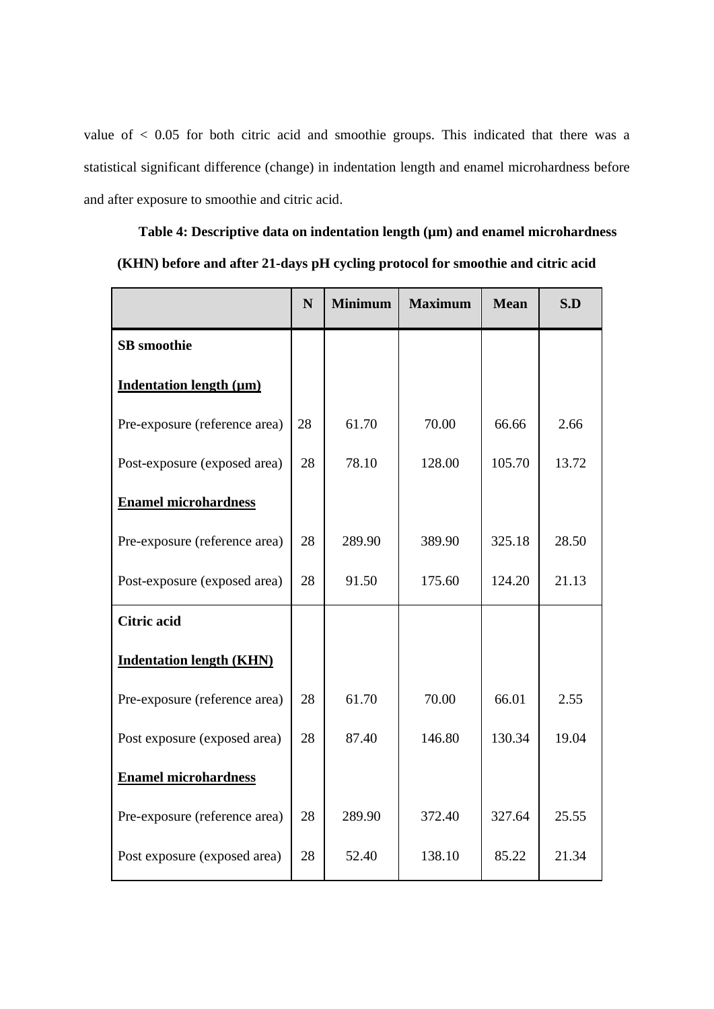value of < 0.05 for both citric acid and smoothie groups. This indicated that there was a statistical significant difference (change) in indentation length and enamel microhardness before and after exposure to smoothie and citric acid.

|                                 | N  | <b>Minimum</b> | <b>Maximum</b> | <b>Mean</b> | S.D   |
|---------------------------------|----|----------------|----------------|-------------|-------|
| <b>SB</b> smoothie              |    |                |                |             |       |
| <b>Indentation length (µm)</b>  |    |                |                |             |       |
| Pre-exposure (reference area)   | 28 | 61.70          | 70.00          | 66.66       | 2.66  |
| Post-exposure (exposed area)    | 28 | 78.10          | 128.00         | 105.70      | 13.72 |
| <b>Enamel microhardness</b>     |    |                |                |             |       |
| Pre-exposure (reference area)   | 28 | 289.90         | 389.90         | 325.18      | 28.50 |
| Post-exposure (exposed area)    | 28 | 91.50          | 175.60         | 124.20      | 21.13 |
| <b>Citric acid</b>              |    |                |                |             |       |
| <b>Indentation length (KHN)</b> |    |                |                |             |       |
| Pre-exposure (reference area)   | 28 | 61.70          | 70.00          | 66.01       | 2.55  |
| Post exposure (exposed area)    | 28 | 87.40          | 146.80         | 130.34      | 19.04 |
| <b>Enamel microhardness</b>     |    |                |                |             |       |
| Pre-exposure (reference area)   | 28 | 289.90         | 372.40         | 327.64      | 25.55 |
| Post exposure (exposed area)    | 28 | 52.40          | 138.10         | 85.22       | 21.34 |

**Table 4: Descriptive data on indentation length (µm) and enamel microhardness** 

**(KHN) before and after 21-days pH cycling protocol for smoothie and citric acid**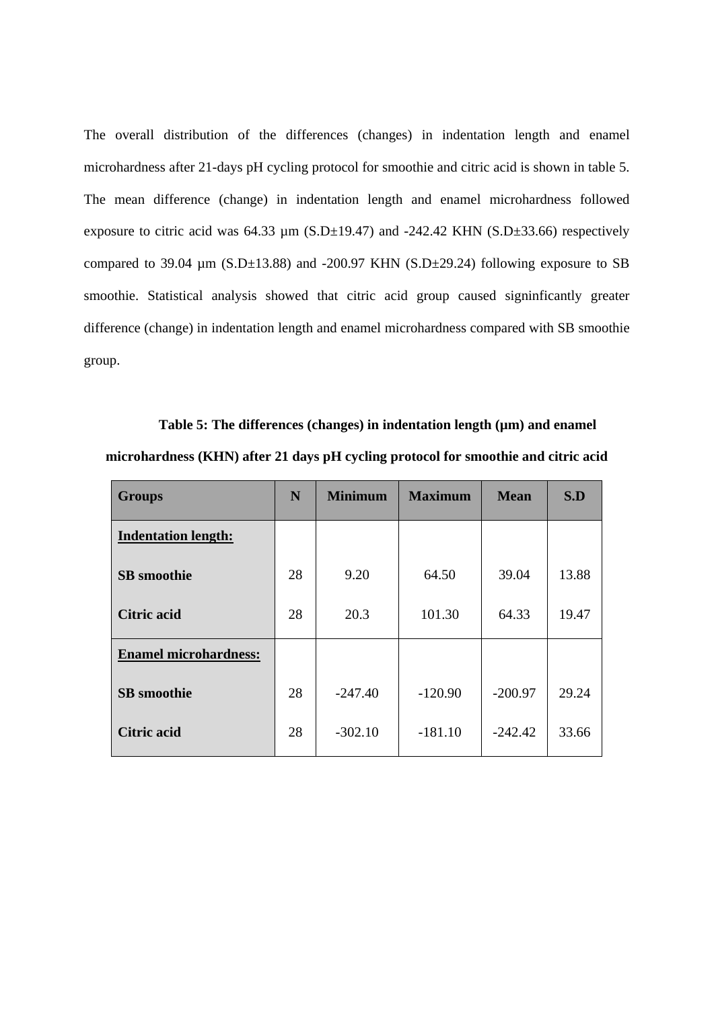The overall distribution of the differences (changes) in indentation length and enamel microhardness after 21-days pH cycling protocol for smoothie and citric acid is shown in table 5. The mean difference (change) in indentation length and enamel microhardness followed exposure to citric acid was  $64.33 \mu$ m (S.D $\pm$ 19.47) and -242.42 KHN (S.D $\pm$ 33.66) respectively compared to 39.04  $\mu$ m (S.D $\pm$ 13.88) and -200.97 KHN (S.D $\pm$ 29.24) following exposure to SB smoothie. Statistical analysis showed that citric acid group caused signinficantly greater difference (change) in indentation length and enamel microhardness compared with SB smoothie group.

Table 5: The differences (changes) in indentation length ( $\mu$ m) and enamel **microhardness (KHN) after 21 days pH cycling protocol for smoothie and citric acid** 

| <b>Groups</b>                | N  | <b>Minimum</b> | <b>Maximum</b> | <b>Mean</b> | S.D   |
|------------------------------|----|----------------|----------------|-------------|-------|
| <b>Indentation length:</b>   |    |                |                |             |       |
| <b>SB</b> smoothie           | 28 | 9.20           | 64.50          | 39.04       | 13.88 |
| <b>Citric acid</b>           | 28 | 20.3           | 101.30         | 64.33       | 19.47 |
| <b>Enamel microhardness:</b> |    |                |                |             |       |
| <b>SB</b> smoothie           | 28 | $-247.40$      | $-120.90$      | $-200.97$   | 29.24 |
| <b>Citric acid</b>           | 28 | $-302.10$      | $-181.10$      | $-242.42$   | 33.66 |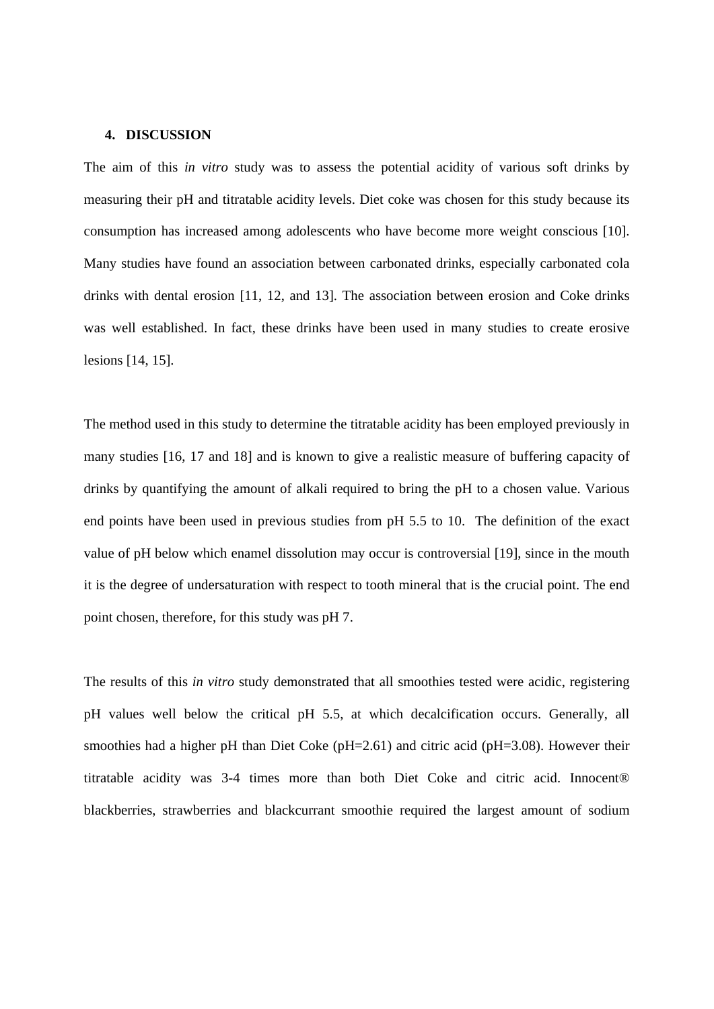#### **4. DISCUSSION**

The aim of this *in vitro* study was to assess the potential acidity of various soft drinks by measuring their pH and titratable acidity levels. Diet coke was chosen for this study because its consumption has increased among adolescents who have become more weight conscious [10]. Many studies have found an association between carbonated drinks, especially carbonated cola drinks with dental erosion [11, 12, and 13]. The association between erosion and Coke drinks was well established. In fact, these drinks have been used in many studies to create erosive lesions [14, 15].

The method used in this study to determine the titratable acidity has been employed previously in many studies [16, 17 and 18] and is known to give a realistic measure of buffering capacity of drinks by quantifying the amount of alkali required to bring the pH to a chosen value. Various end points have been used in previous studies from pH 5.5 to 10. The definition of the exact value of pH below which enamel dissolution may occur is controversial [19], since in the mouth it is the degree of undersaturation with respect to tooth mineral that is the crucial point. The end point chosen, therefore, for this study was pH 7.

The results of this *in vitro* study demonstrated that all smoothies tested were acidic, registering pH values well below the critical pH 5.5, at which decalcification occurs. Generally, all smoothies had a higher pH than Diet Coke (pH=2.61) and citric acid (pH=3.08). However their titratable acidity was 3-4 times more than both Diet Coke and citric acid. Innocent® blackberries, strawberries and blackcurrant smoothie required the largest amount of sodium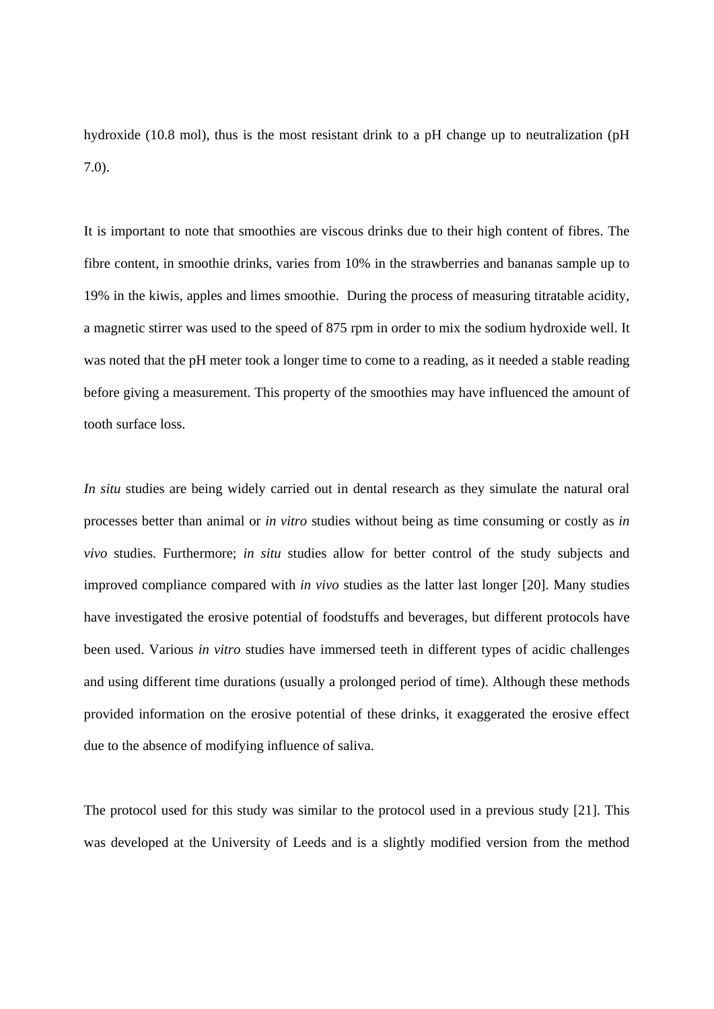hydroxide (10.8 mol), thus is the most resistant drink to a pH change up to neutralization (pH 7.0).

It is important to note that smoothies are viscous drinks due to their high content of fibres. The fibre content, in smoothie drinks, varies from 10% in the strawberries and bananas sample up to 19% in the kiwis, apples and limes smoothie. During the process of measuring titratable acidity, a magnetic stirrer was used to the speed of 875 rpm in order to mix the sodium hydroxide well. It was noted that the pH meter took a longer time to come to a reading, as it needed a stable reading before giving a measurement. This property of the smoothies may have influenced the amount of tooth surface loss.

*In situ* studies are being widely carried out in dental research as they simulate the natural oral processes better than animal or *in vitro* studies without being as time consuming or costly as *in vivo* studies. Furthermore; *in situ* studies allow for better control of the study subjects and improved compliance compared with *in vivo* studies as the latter last longer [20]. Many studies have investigated the erosive potential of foodstuffs and beverages, but different protocols have been used. Various *in vitro* studies have immersed teeth in different types of acidic challenges and using different time durations (usually a prolonged period of time). Although these methods provided information on the erosive potential of these drinks, it exaggerated the erosive effect due to the absence of modifying influence of saliva.

The protocol used for this study was similar to the protocol used in a previous study [21]. This was developed at the University of Leeds and is a slightly modified version from the method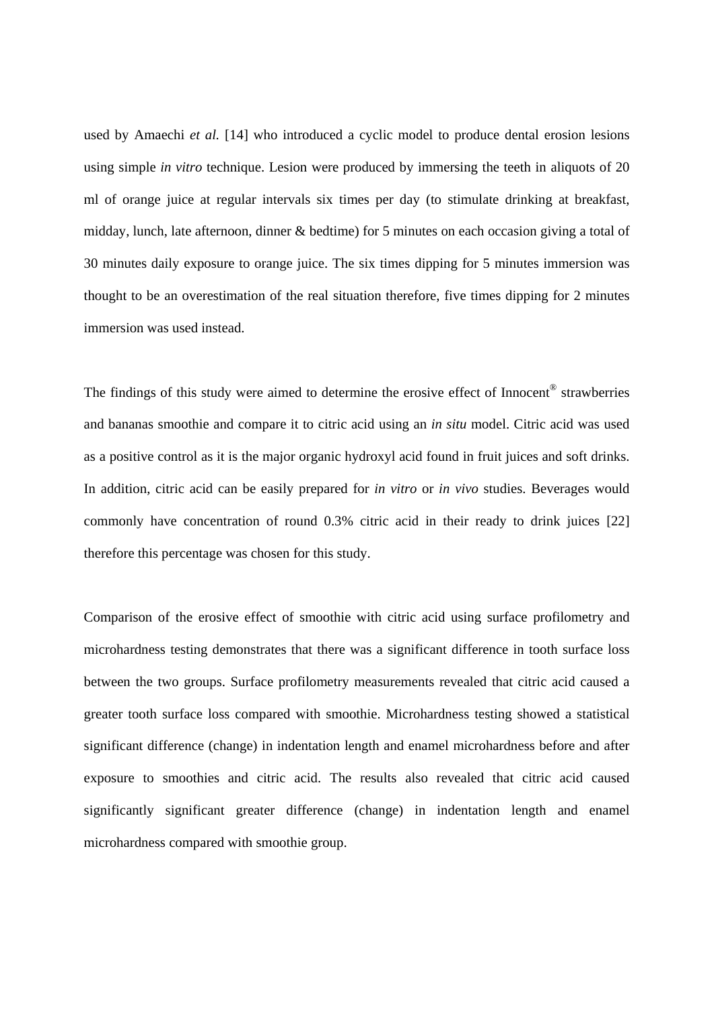used by Amaechi *et al.* [14] who introduced a cyclic model to produce dental erosion lesions using simple *in vitro* technique. Lesion were produced by immersing the teeth in aliquots of 20 ml of orange juice at regular intervals six times per day (to stimulate drinking at breakfast, midday, lunch, late afternoon, dinner & bedtime) for 5 minutes on each occasion giving a total of 30 minutes daily exposure to orange juice. The six times dipping for 5 minutes immersion was thought to be an overestimation of the real situation therefore, five times dipping for 2 minutes immersion was used instead.

The findings of this study were aimed to determine the erosive effect of Innocent® strawberries and bananas smoothie and compare it to citric acid using an *in situ* model. Citric acid was used as a positive control as it is the major organic hydroxyl acid found in fruit juices and soft drinks. In addition, citric acid can be easily prepared for *in vitro* or *in vivo* studies. Beverages would commonly have concentration of round 0.3% citric acid in their ready to drink juices [22] therefore this percentage was chosen for this study.

Comparison of the erosive effect of smoothie with citric acid using surface profilometry and microhardness testing demonstrates that there was a significant difference in tooth surface loss between the two groups. Surface profilometry measurements revealed that citric acid caused a greater tooth surface loss compared with smoothie. Microhardness testing showed a statistical significant difference (change) in indentation length and enamel microhardness before and after exposure to smoothies and citric acid. The results also revealed that citric acid caused significantly significant greater difference (change) in indentation length and enamel microhardness compared with smoothie group.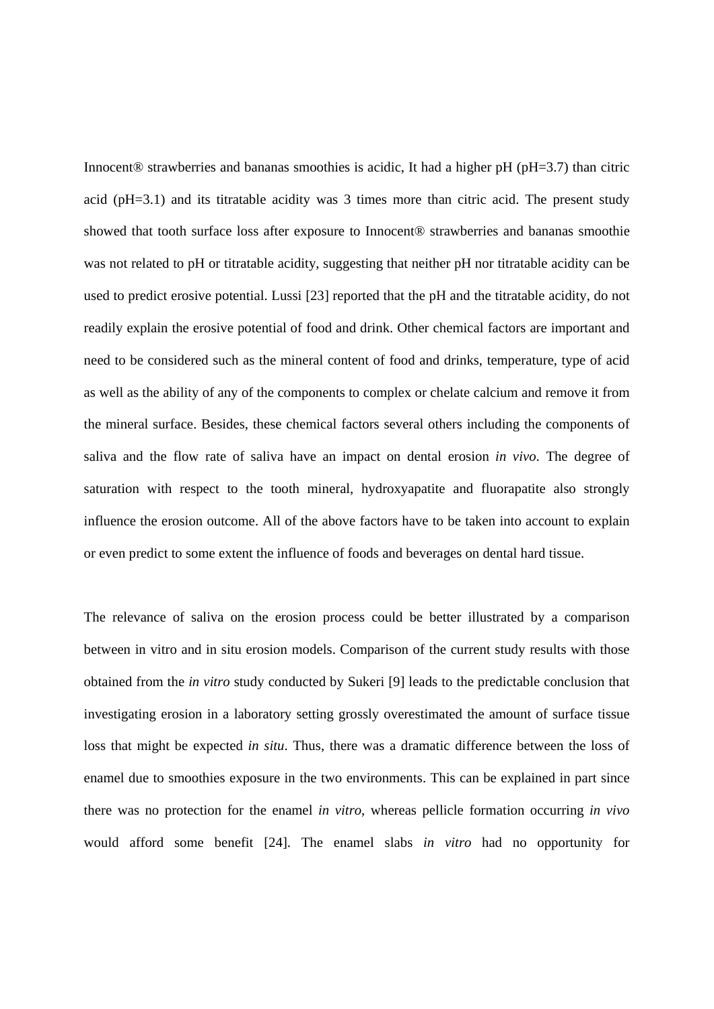Innocent® strawberries and bananas smoothies is acidic, It had a higher pH (pH=3.7) than citric acid (pH=3.1) and its titratable acidity was 3 times more than citric acid. The present study showed that tooth surface loss after exposure to Innocent® strawberries and bananas smoothie was not related to pH or titratable acidity, suggesting that neither pH nor titratable acidity can be used to predict erosive potential. Lussi [23] reported that the pH and the titratable acidity, do not readily explain the erosive potential of food and drink. Other chemical factors are important and need to be considered such as the mineral content of food and drinks, temperature, type of acid as well as the ability of any of the components to complex or chelate calcium and remove it from the mineral surface. Besides, these chemical factors several others including the components of saliva and the flow rate of saliva have an impact on dental erosion *in vivo*. The degree of saturation with respect to the tooth mineral, hydroxyapatite and fluorapatite also strongly influence the erosion outcome. All of the above factors have to be taken into account to explain or even predict to some extent the influence of foods and beverages on dental hard tissue.

The relevance of saliva on the erosion process could be better illustrated by a comparison between in vitro and in situ erosion models. Comparison of the current study results with those obtained from the *in vitro* study conducted by Sukeri [9] leads to the predictable conclusion that investigating erosion in a laboratory setting grossly overestimated the amount of surface tissue loss that might be expected *in situ*. Thus, there was a dramatic difference between the loss of enamel due to smoothies exposure in the two environments. This can be explained in part since there was no protection for the enamel *in vitro*, whereas pellicle formation occurring *in vivo* would afford some benefit [24]. The enamel slabs *in vitro* had no opportunity for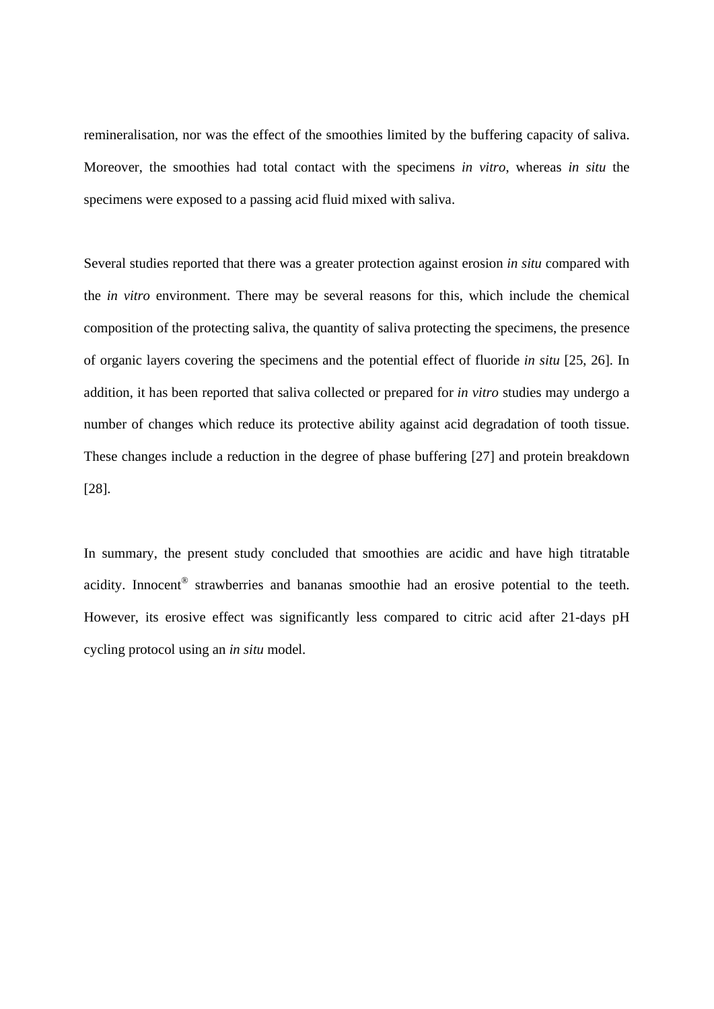remineralisation, nor was the effect of the smoothies limited by the buffering capacity of saliva. Moreover, the smoothies had total contact with the specimens *in vitro*, whereas *in situ* the specimens were exposed to a passing acid fluid mixed with saliva.

Several studies reported that there was a greater protection against erosion *in situ* compared with the *in vitro* environment. There may be several reasons for this, which include the chemical composition of the protecting saliva, the quantity of saliva protecting the specimens, the presence of organic layers covering the specimens and the potential effect of fluoride *in situ* [25, 26]. In addition, it has been reported that saliva collected or prepared for *in vitro* studies may undergo a number of changes which reduce its protective ability against acid degradation of tooth tissue. These changes include a reduction in the degree of phase buffering [27] and protein breakdown [28].

In summary, the present study concluded that smoothies are acidic and have high titratable acidity. Innocent<sup>®</sup> strawberries and bananas smoothie had an erosive potential to the teeth. However, its erosive effect was significantly less compared to citric acid after 21-days pH cycling protocol using an *in situ* model.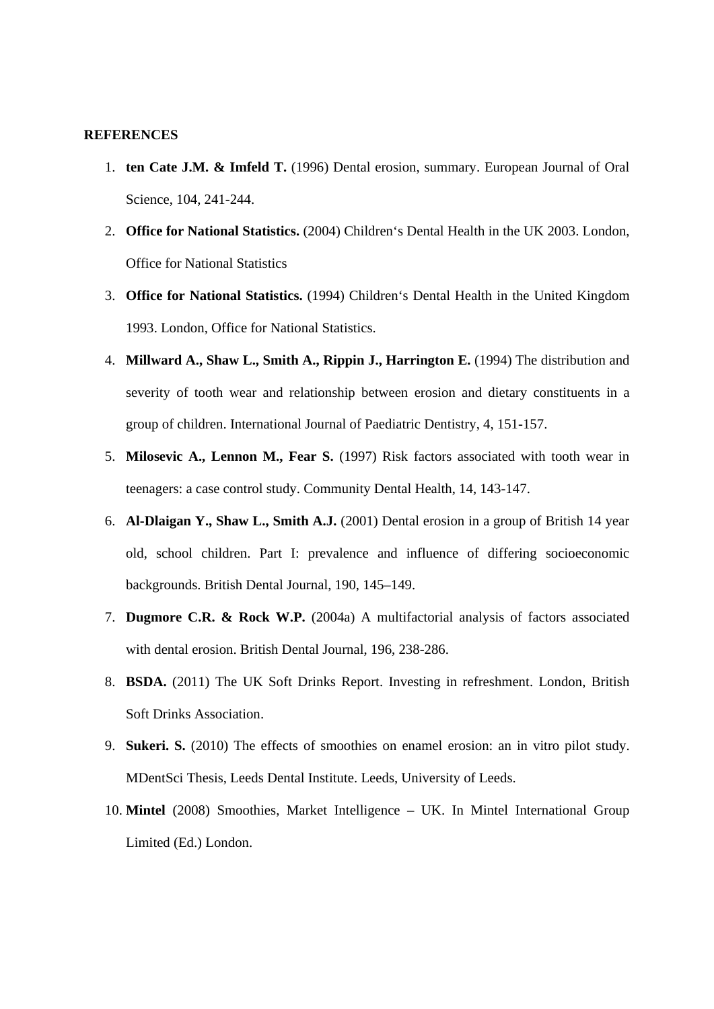### **REFERENCES**

- 1. **ten Cate J.M. & Imfeld T.** (1996) Dental erosion, summary. European Journal of Oral Science, 104, 241-244.
- 2. **Office for National Statistics.** (2004) Children's Dental Health in the UK 2003. London, Office for National Statistics
- 3. **Office for National Statistics.** (1994) Children's Dental Health in the United Kingdom 1993. London, Office for National Statistics.
- 4. **Millward A., Shaw L., Smith A., Rippin J., Harrington E.** (1994) The distribution and severity of tooth wear and relationship between erosion and dietary constituents in a group of children. International Journal of Paediatric Dentistry, 4, 151-157.
- 5. **Milosevic A., Lennon M., Fear S.** (1997) Risk factors associated with tooth wear in teenagers: a case control study. Community Dental Health, 14, 143-147.
- 6. **Al-Dlaigan Y., Shaw L., Smith A.J.** (2001) Dental erosion in a group of British 14 year old, school children. Part I: prevalence and influence of differing socioeconomic backgrounds. British Dental Journal, 190, 145–149.
- 7. **Dugmore C.R. & Rock W.P.** (2004a) A multifactorial analysis of factors associated with dental erosion. British Dental Journal, 196, 238-286.
- 8. **BSDA.** (2011) The UK Soft Drinks Report. Investing in refreshment. London, British Soft Drinks Association.
- 9. **Sukeri. S.** (2010) The effects of smoothies on enamel erosion: an in vitro pilot study. MDentSci Thesis, Leeds Dental Institute. Leeds, University of Leeds.
- 10. **Mintel** (2008) Smoothies, Market Intelligence UK. In Mintel International Group Limited (Ed.) London.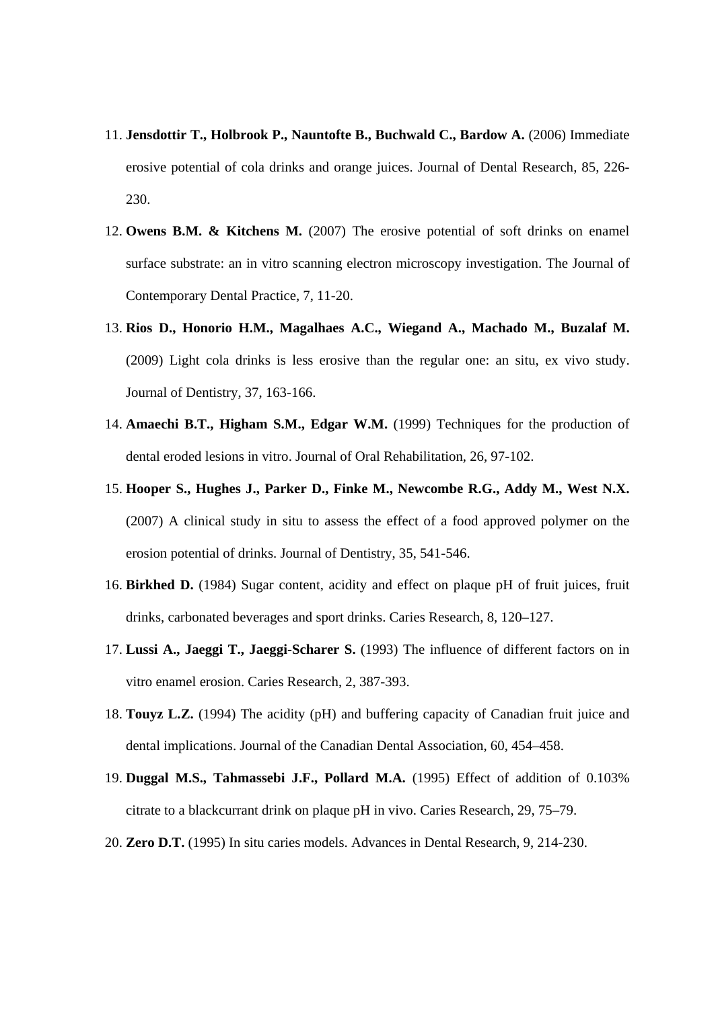- 11. **Jensdottir T., Holbrook P., Nauntofte B., Buchwald C., Bardow A.** (2006) Immediate erosive potential of cola drinks and orange juices. Journal of Dental Research, 85, 226- 230.
- 12. **Owens B.M. & Kitchens M.** (2007) The erosive potential of soft drinks on enamel surface substrate: an in vitro scanning electron microscopy investigation. The Journal of Contemporary Dental Practice, 7, 11-20.
- 13. **Rios D., Honorio H.M., Magalhaes A.C., Wiegand A., Machado M., Buzalaf M.**  (2009) Light cola drinks is less erosive than the regular one: an situ, ex vivo study. Journal of Dentistry, 37, 163-166.
- 14. **Amaechi B.T., Higham S.M., Edgar W.M.** (1999) Techniques for the production of dental eroded lesions in vitro. Journal of Oral Rehabilitation, 26, 97-102.
- 15. **Hooper S., Hughes J., Parker D., Finke M., Newcombe R.G., Addy M., West N.X.**  (2007) A clinical study in situ to assess the effect of a food approved polymer on the erosion potential of drinks. Journal of Dentistry, 35, 541-546.
- 16. **Birkhed D.** (1984) Sugar content, acidity and effect on plaque pH of fruit juices, fruit drinks, carbonated beverages and sport drinks. Caries Research, 8, 120–127.
- 17. **Lussi A., Jaeggi T., Jaeggi-Scharer S.** (1993) The influence of different factors on in vitro enamel erosion. Caries Research, 2, 387-393.
- 18. **Touyz L.Z.** (1994) The acidity (pH) and buffering capacity of Canadian fruit juice and dental implications. Journal of the Canadian Dental Association, 60, 454–458.
- 19. **Duggal M.S., Tahmassebi J.F., Pollard M.A.** (1995) Effect of addition of 0.103% citrate to a blackcurrant drink on plaque pH in vivo. Caries Research, 29, 75–79.
- 20. **Zero D.T.** (1995) In situ caries models. Advances in Dental Research, 9, 214-230.